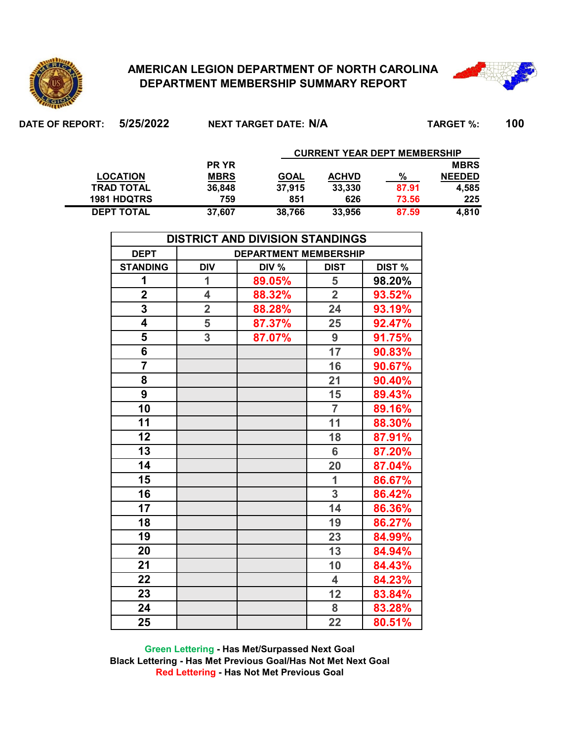

**DEPT TOTAL**

## **AMERICAN LEGION DEPARTMENT OF NORTH CAROLINA DEPARTMENT MEMBERSHIP SUMMARY REPORT**



**DATE OF REPORT: 5/25/2022 TARGET %: 100 NEXT TARGET DATE: N/A PR YR MBRS MBRS GOAL ACHVD % NEEDED 36,848 37,915 33,330 87.91 4,585 759 851 626 73.56 225 CURRENT YEAR DEPT MEMBERSHIP LOCATION 1981 HDQTRS TRAD TOTAL**

**37,607 38,766 33,956 87.59 4,810**

| <b>DISTRICT AND DIVISION STANDINGS</b>                                                                |                         |        |                 |        |  |  |  |  |  |  |  |  |  |
|-------------------------------------------------------------------------------------------------------|-------------------------|--------|-----------------|--------|--|--|--|--|--|--|--|--|--|
| <b>DEPT</b><br><b>DEPARTMENT MEMBERSHIP</b><br><b>DIV</b><br>DIST %<br><b>STANDING</b><br><b>DIST</b> |                         |        |                 |        |  |  |  |  |  |  |  |  |  |
|                                                                                                       |                         | DIV %  |                 |        |  |  |  |  |  |  |  |  |  |
| 1                                                                                                     | 1                       | 89.05% | 5               | 98.20% |  |  |  |  |  |  |  |  |  |
| $\mathbf 2$                                                                                           | $\overline{\mathbf{4}}$ | 88.32% | $\overline{2}$  | 93.52% |  |  |  |  |  |  |  |  |  |
| $\overline{\mathbf{3}}$                                                                               | $\overline{\mathbf{2}}$ | 88.28% | 24              | 93.19% |  |  |  |  |  |  |  |  |  |
| 4                                                                                                     | 5                       | 87.37% | 25              | 92.47% |  |  |  |  |  |  |  |  |  |
| 5                                                                                                     | 3                       | 87.07% | 9               | 91.75% |  |  |  |  |  |  |  |  |  |
| 6                                                                                                     |                         |        | $\overline{17}$ | 90.83% |  |  |  |  |  |  |  |  |  |
| $\overline{7}$                                                                                        |                         |        | 16              | 90.67% |  |  |  |  |  |  |  |  |  |
| 8                                                                                                     |                         |        | 21              | 90.40% |  |  |  |  |  |  |  |  |  |
| 9                                                                                                     |                         |        | 15              | 89.43% |  |  |  |  |  |  |  |  |  |
| 10                                                                                                    |                         |        | $\overline{7}$  | 89.16% |  |  |  |  |  |  |  |  |  |
| 11                                                                                                    |                         |        | 11              | 88.30% |  |  |  |  |  |  |  |  |  |
| 12                                                                                                    |                         |        | 18              | 87.91% |  |  |  |  |  |  |  |  |  |
| 13                                                                                                    |                         |        | 6               | 87.20% |  |  |  |  |  |  |  |  |  |
| $\overline{14}$                                                                                       |                         |        | 20              | 87.04% |  |  |  |  |  |  |  |  |  |
| 15                                                                                                    |                         |        | $\overline{1}$  | 86.67% |  |  |  |  |  |  |  |  |  |
| 16                                                                                                    |                         |        | 3               | 86.42% |  |  |  |  |  |  |  |  |  |
| 17                                                                                                    |                         |        | 14              | 86.36% |  |  |  |  |  |  |  |  |  |
| 18                                                                                                    |                         |        | 19              | 86.27% |  |  |  |  |  |  |  |  |  |
| 19                                                                                                    |                         |        | 23              | 84.99% |  |  |  |  |  |  |  |  |  |
| 20                                                                                                    |                         |        | 13              | 84.94% |  |  |  |  |  |  |  |  |  |
| 21                                                                                                    |                         |        | 10              | 84.43% |  |  |  |  |  |  |  |  |  |
| 22                                                                                                    |                         |        | 4               | 84.23% |  |  |  |  |  |  |  |  |  |
| 23                                                                                                    |                         |        | 12              | 83.84% |  |  |  |  |  |  |  |  |  |
| 24                                                                                                    |                         |        | 8               | 83.28% |  |  |  |  |  |  |  |  |  |
| 25                                                                                                    |                         |        | 22              | 80.51% |  |  |  |  |  |  |  |  |  |

**Green Lettering - Has Met/Surpassed Next Goal Black Lettering - Has Met Previous Goal/Has Not Met Next Goal Red Lettering - Has Not Met Previous Goal**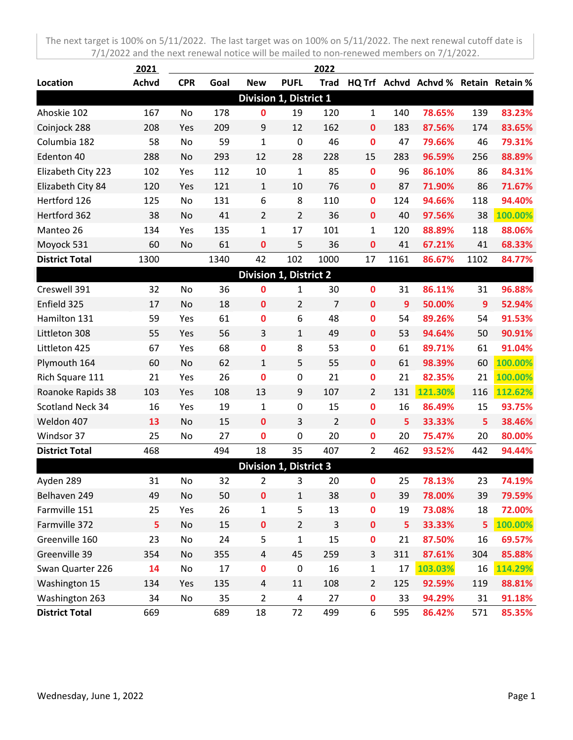|                         | 2021         |            |      |                               |                | 2022           |                  |      |                                      |      |         |
|-------------------------|--------------|------------|------|-------------------------------|----------------|----------------|------------------|------|--------------------------------------|------|---------|
| Location                | <b>Achvd</b> | <b>CPR</b> | Goal | <b>New</b>                    | <b>PUFL</b>    | <b>Trad</b>    |                  |      | HQ Trf Achvd Achvd % Retain Retain % |      |         |
|                         |              |            |      | Division 1, District 1        |                |                |                  |      |                                      |      |         |
| Ahoskie 102             | 167          | No         | 178  | 0                             | 19             | 120            | $\mathbf{1}$     | 140  | 78.65%                               | 139  | 83.23%  |
| Coinjock 288            | 208          | Yes        | 209  | 9                             | 12             | 162            | $\mathbf 0$      | 183  | 87.56%                               | 174  | 83.65%  |
| Columbia 182            | 58           | No         | 59   | $\mathbf{1}$                  | $\mathbf 0$    | 46             | $\bf{0}$         | 47   | 79.66%                               | 46   | 79.31%  |
| Edenton 40              | 288          | No         | 293  | 12                            | 28             | 228            | 15               | 283  | 96.59%                               | 256  | 88.89%  |
| Elizabeth City 223      | 102          | Yes        | 112  | 10                            | $\mathbf{1}$   | 85             | $\mathbf 0$      | 96   | 86.10%                               | 86   | 84.31%  |
| Elizabeth City 84       | 120          | Yes        | 121  | $\mathbf{1}$                  | 10             | 76             | $\mathbf 0$      | 87   | 71.90%                               | 86   | 71.67%  |
| Hertford 126            | 125          | No         | 131  | 6                             | 8              | 110            | $\mathbf 0$      | 124  | 94.66%                               | 118  | 94.40%  |
| Hertford 362            | 38           | No         | 41   | $\overline{2}$                | $\overline{2}$ | 36             | $\mathbf 0$      | 40   | 97.56%                               | 38   | 100.00% |
| Manteo 26               | 134          | Yes        | 135  | $\mathbf{1}$                  | 17             | 101            | $\mathbf{1}$     | 120  | 88.89%                               | 118  | 88.06%  |
| Moyock 531              | 60           | No         | 61   | $\mathbf 0$                   | 5              | 36             | $\boldsymbol{0}$ | 41   | 67.21%                               | 41   | 68.33%  |
| <b>District Total</b>   | 1300         |            | 1340 | 42                            | 102            | 1000           | 17               | 1161 | 86.67%                               | 1102 | 84.77%  |
|                         |              |            |      | <b>Division 1, District 2</b> |                |                |                  |      |                                      |      |         |
| Creswell 391            | 32           | No         | 36   | 0                             | 1              | 30             | $\bf{0}$         | 31   | 86.11%                               | 31   | 96.88%  |
| Enfield 325             | 17           | No         | 18   | $\mathbf 0$                   | $\overline{2}$ | $\overline{7}$ | $\mathbf{0}$     | 9    | 50.00%                               | 9    | 52.94%  |
| Hamilton 131            | 59           | Yes        | 61   | 0                             | 6              | 48             | $\mathbf 0$      | 54   | 89.26%                               | 54   | 91.53%  |
| Littleton 308           | 55           | Yes        | 56   | 3                             | $\mathbf{1}$   | 49             | $\mathbf 0$      | 53   | 94.64%                               | 50   | 90.91%  |
| Littleton 425           | 67           | Yes        | 68   | 0                             | 8              | 53             | $\mathbf 0$      | 61   | 89.71%                               | 61   | 91.04%  |
| Plymouth 164            | 60           | No         | 62   | 1                             | 5              | 55             | $\mathbf 0$      | 61   | 98.39%                               | 60   | 100.00% |
| Rich Square 111         | 21           | Yes        | 26   | $\mathbf 0$                   | 0              | 21             | $\mathbf 0$      | 21   | 82.35%                               | 21   | 100.00% |
| Roanoke Rapids 38       | 103          | Yes        | 108  | 13                            | 9              | 107            | $\overline{2}$   | 131  | 121.30%                              | 116  | 112.62% |
| <b>Scotland Neck 34</b> | 16           | Yes        | 19   | 1                             | $\pmb{0}$      | 15             | $\mathbf 0$      | 16   | 86.49%                               | 15   | 93.75%  |
| Weldon 407              | 13           | No         | 15   | $\mathbf 0$                   | 3              | $\overline{2}$ | $\mathbf{0}$     | 5    | 33.33%                               | 5    | 38.46%  |
| Windsor 37              | 25           | No         | 27   | 0                             | 0              | 20             | $\mathbf 0$      | 20   | 75.47%                               | 20   | 80.00%  |
| <b>District Total</b>   | 468          |            | 494  | 18                            | 35             | 407            | $\overline{2}$   | 462  | 93.52%                               | 442  | 94.44%  |
|                         |              |            |      | <b>Division 1, District 3</b> |                |                |                  |      |                                      |      |         |
| Ayden 289               | 31           | No         | 32   | 2                             | 3              | 20             | $\bf{0}$         | 25   | 78.13%                               | 23   | 74.19%  |
| Belhaven 249            | 49           | No         | 50   | $\mathbf 0$                   | $\mathbf{1}$   | 38             | $\mathbf 0$      | 39   | 78.00%                               | 39   | 79.59%  |
| Farmville 151           | 25           | Yes        | 26   | $\mathbf{1}$                  | 5              | 13             | $\bf{0}$         | 19   | 73.08%                               | 18   | 72.00%  |
| Farmville 372           | 5            | No         | 15   | $\mathbf 0$                   | $\overline{2}$ | 3              | $\mathbf 0$      | 5    | 33.33%                               | 5    | 100.00% |
| Greenville 160          | 23           | No         | 24   | 5                             | 1              | 15             | $\mathbf 0$      | 21   | 87.50%                               | 16   | 69.57%  |
| Greenville 39           | 354          | No         | 355  | 4                             | 45             | 259            | 3                | 311  | 87.61%                               | 304  | 85.88%  |
| Swan Quarter 226        | 14           | No         | 17   | 0                             | $\pmb{0}$      | 16             | $\mathbf 1$      | 17   | 103.03%                              | 16   | 114.29% |
| Washington 15           | 134          | Yes        | 135  | 4                             | 11             | 108            | $\overline{2}$   | 125  | 92.59%                               | 119  | 88.81%  |
| Washington 263          | 34           | No         | 35   | $\overline{2}$                | 4              | 27             | $\mathbf 0$      | 33   | 94.29%                               | 31   | 91.18%  |
| <b>District Total</b>   | 669          |            | 689  | 18                            | 72             | 499            | 6                | 595  | 86.42%                               | 571  | 85.35%  |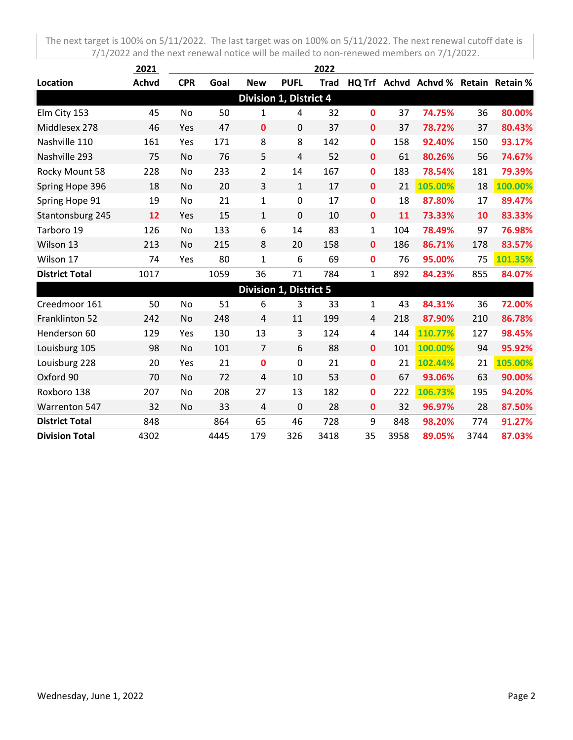|                       | 2021         |            |      |                |                               | 2022        |              |     |                                      |     |         |
|-----------------------|--------------|------------|------|----------------|-------------------------------|-------------|--------------|-----|--------------------------------------|-----|---------|
| Location              | <b>Achvd</b> | <b>CPR</b> | Goal | <b>New</b>     | <b>PUFL</b>                   | <b>Trad</b> |              |     | HQ Trf Achvd Achvd % Retain Retain % |     |         |
|                       |              |            |      |                | Division 1, District 4        |             |              |     |                                      |     |         |
| Elm City 153          | 45           | No         | 50   | 1              | 4                             | 32          | 0            | 37  | 74.75%                               | 36  | 80.00%  |
| Middlesex 278         | 46           | Yes        | 47   | $\mathbf{0}$   | 0                             | 37          | $\mathbf 0$  | 37  | 78.72%                               | 37  | 80.43%  |
| Nashville 110         | 161          | Yes        | 171  | 8              | 8                             | 142         | $\mathbf 0$  | 158 | 92.40%                               | 150 | 93.17%  |
| Nashville 293         | 75           | No         | 76   | 5              | $\overline{4}$                | 52          | $\mathbf{0}$ | 61  | 80.26%                               | 56  | 74.67%  |
| Rocky Mount 58        | 228          | No         | 233  | $\overline{2}$ | 14                            | 167         | $\mathbf 0$  | 183 | 78.54%                               | 181 | 79.39%  |
| Spring Hope 396       | 18           | No         | 20   | 3              | $\mathbf{1}$                  | 17          | $\mathbf{0}$ | 21  | 105.00%                              | 18  | 100.00% |
| Spring Hope 91        | 19           | No         | 21   | 1              | $\mathbf 0$                   | 17          | $\mathbf 0$  | 18  | 87.80%                               | 17  | 89.47%  |
| Stantonsburg 245      | 12           | Yes        | 15   | $\mathbf{1}$   | 0                             | 10          | $\mathbf 0$  | 11  | 73.33%                               | 10  | 83.33%  |
| Tarboro 19            | 126          | No         | 133  | 6              | 14                            | 83          | $\mathbf{1}$ | 104 | 78.49%                               | 97  | 76.98%  |
| Wilson 13             | 213          | No         | 215  | 8              | 20                            | 158         | $\mathbf 0$  | 186 | 86.71%                               | 178 | 83.57%  |
| Wilson 17             | 74           | Yes        | 80   | $\mathbf{1}$   | 6                             | 69          | $\mathbf 0$  | 76  | 95.00%                               | 75  | 101.35% |
| <b>District Total</b> | 1017         |            | 1059 | 36             | 71                            | 784         | $\mathbf{1}$ | 892 | 84.23%                               | 855 | 84.07%  |
|                       |              |            |      |                | <b>Division 1, District 5</b> |             |              |     |                                      |     |         |
| Creedmoor 161         | 50           | No         | 51   | 6              | 3                             | 33          | 1            | 43  | 84.31%                               | 36  | 72.00%  |
| Franklinton 52        | 242          | No         | 248  | 4              | 11                            | 199         | 4            | 218 | 87.90%                               | 210 | 86.78%  |
| Henderson 60          | 129          | Yes        | 130  | 13             | 3                             | 124         | 4            | 144 | 110.77%                              | 127 | 98.45%  |
| Louisburg 105         | 98           | No         | 101  | $\overline{7}$ | 6                             | 88          | $\mathbf{0}$ | 101 | 100.00%                              | 94  | 95.92%  |
| Louisburg 228         | 20           | Yes        | 21   | $\mathbf 0$    | 0                             | 21          | $\mathbf 0$  | 21  | 102.44%                              | 21  | 105.00% |
| Oxford 90             | 70           | No         | 72   | $\overline{4}$ | 10                            | 53          | $\mathbf{0}$ | 67  | 93.06%                               | 63  | 90.00%  |
| Roxboro 138           | 207          | No         | 208  | 27             | 13                            | 182         | 0            | 222 | 106.73%                              | 195 | 94.20%  |

Warrenton 547 32 No 33 4 0 28 **0** 32 **96.97%** 28 **87.50% District Total** 848 864 65 46 728 9 848 **98.20%** 774 **91.27% Division Total** 4302 4445 179 326 3418 35 3958 **89.05%** 3744 **87.03%**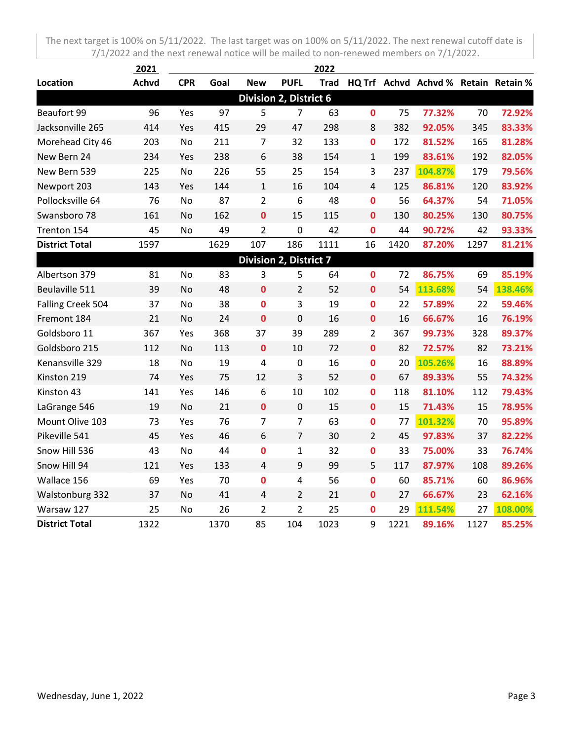|                       | 2021         |            |      |                |                               | 2022 |                |      |                                           |      |         |
|-----------------------|--------------|------------|------|----------------|-------------------------------|------|----------------|------|-------------------------------------------|------|---------|
| Location              | <b>Achvd</b> | <b>CPR</b> | Goal | <b>New</b>     | <b>PUFL</b>                   |      |                |      | Trad HQ Trf Achvd Achvd % Retain Retain % |      |         |
|                       |              |            |      |                | <b>Division 2, District 6</b> |      |                |      |                                           |      |         |
| Beaufort 99           | 96           | Yes        | 97   | 5              | $\overline{7}$                | 63   | $\mathbf 0$    | 75   | 77.32%                                    | 70   | 72.92%  |
| Jacksonville 265      | 414          | Yes        | 415  | 29             | 47                            | 298  | 8              | 382  | 92.05%                                    | 345  | 83.33%  |
| Morehead City 46      | 203          | No         | 211  | 7              | 32                            | 133  | $\mathbf 0$    | 172  | 81.52%                                    | 165  | 81.28%  |
| New Bern 24           | 234          | Yes        | 238  | 6              | 38                            | 154  | $\mathbf{1}$   | 199  | 83.61%                                    | 192  | 82.05%  |
| New Bern 539          | 225          | <b>No</b>  | 226  | 55             | 25                            | 154  | 3              | 237  | 104.87%                                   | 179  | 79.56%  |
| Newport 203           | 143          | Yes        | 144  | $\mathbf{1}$   | 16                            | 104  | $\overline{4}$ | 125  | 86.81%                                    | 120  | 83.92%  |
| Pollocksville 64      | 76           | No         | 87   | $\overline{2}$ | 6                             | 48   | $\mathbf 0$    | 56   | 64.37%                                    | 54   | 71.05%  |
| Swansboro 78          | 161          | No         | 162  | 0              | 15                            | 115  | 0              | 130  | 80.25%                                    | 130  | 80.75%  |
| Trenton 154           | 45           | No         | 49   | $\overline{2}$ | $\mathbf 0$                   | 42   | 0              | 44   | 90.72%                                    | 42   | 93.33%  |
| <b>District Total</b> | 1597         |            | 1629 | 107            | 186                           | 1111 | 16             | 1420 | 87.20%                                    | 1297 | 81.21%  |
|                       |              |            |      |                | <b>Division 2, District 7</b> |      |                |      |                                           |      |         |
| Albertson 379         | 81           | No         | 83   | 3              | 5                             | 64   | 0              | 72   | 86.75%                                    | 69   | 85.19%  |
| Beulaville 511        | 39           | <b>No</b>  | 48   | $\mathbf 0$    | $\overline{2}$                | 52   | $\bf{0}$       | 54   | 113.68%                                   | 54   | 138.46% |
| Falling Creek 504     | 37           | No         | 38   | 0              | 3                             | 19   | $\mathbf 0$    | 22   | 57.89%                                    | 22   | 59.46%  |
| Fremont 184           | 21           | No         | 24   | 0              | $\mathbf 0$                   | 16   | $\mathbf 0$    | 16   | 66.67%                                    | 16   | 76.19%  |
| Goldsboro 11          | 367          | Yes        | 368  | 37             | 39                            | 289  | $\overline{2}$ | 367  | 99.73%                                    | 328  | 89.37%  |
| Goldsboro 215         | 112          | No         | 113  | $\mathbf 0$    | 10                            | 72   | $\bf{0}$       | 82   | 72.57%                                    | 82   | 73.21%  |
| Kenansville 329       | 18           | No         | 19   | 4              | $\mathbf 0$                   | 16   | 0              | 20   | 105.26%                                   | 16   | 88.89%  |
| Kinston 219           | 74           | Yes        | 75   | 12             | 3                             | 52   | $\bf{0}$       | 67   | 89.33%                                    | 55   | 74.32%  |
| Kinston 43            | 141          | Yes        | 146  | 6              | 10                            | 102  | $\mathbf 0$    | 118  | 81.10%                                    | 112  | 79.43%  |
| LaGrange 546          | 19           | No         | 21   | $\mathbf 0$    | $\mathbf 0$                   | 15   | $\mathbf 0$    | 15   | 71.43%                                    | 15   | 78.95%  |
| Mount Olive 103       | 73           | Yes        | 76   | $\overline{7}$ | $\overline{7}$                | 63   | $\mathbf 0$    | 77   | 101.32%                                   | 70   | 95.89%  |
| Pikeville 541         | 45           | Yes        | 46   | 6              | $\overline{7}$                | 30   | $\overline{2}$ | 45   | 97.83%                                    | 37   | 82.22%  |
| Snow Hill 536         | 43           | No         | 44   | 0              | $\mathbf{1}$                  | 32   | $\mathbf 0$    | 33   | 75.00%                                    | 33   | 76.74%  |
| Snow Hill 94          | 121          | Yes        | 133  | 4              | 9                             | 99   | 5              | 117  | 87.97%                                    | 108  | 89.26%  |
| Wallace 156           | 69           | Yes        | 70   | $\mathbf 0$    | $\overline{4}$                | 56   | $\mathbf 0$    | 60   | 85.71%                                    | 60   | 86.96%  |
| Walstonburg 332       | 37           | <b>No</b>  | 41   | 4              | $\overline{2}$                | 21   | $\mathbf 0$    | 27   | 66.67%                                    | 23   | 62.16%  |
| Warsaw 127            | 25           | No         | 26   | $\overline{2}$ | $\overline{2}$                | 25   | 0              | 29   | 111.54%                                   | 27   | 108.00% |
| <b>District Total</b> | 1322         |            | 1370 | 85             | 104                           | 1023 | 9              | 1221 | 89.16%                                    | 1127 | 85.25%  |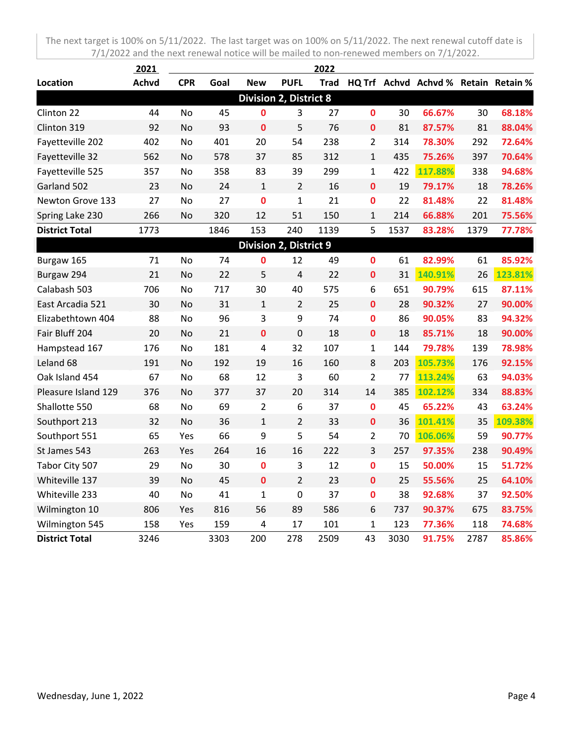|                       | 2021         |            |      |                               |                               | 2022 |                |      |                                           |      |         |
|-----------------------|--------------|------------|------|-------------------------------|-------------------------------|------|----------------|------|-------------------------------------------|------|---------|
| Location              | <b>Achvd</b> | <b>CPR</b> | Goal | <b>New</b>                    | <b>PUFL</b>                   |      |                |      | Trad HQ Trf Achvd Achvd % Retain Retain % |      |         |
|                       |              |            |      |                               | <b>Division 2, District 8</b> |      |                |      |                                           |      |         |
| Clinton 22            | 44           | No         | 45   | 0                             | 3                             | 27   | 0              | 30   | 66.67%                                    | 30   | 68.18%  |
| Clinton 319           | 92           | No         | 93   | $\mathbf 0$                   | 5                             | 76   | $\mathbf 0$    | 81   | 87.57%                                    | 81   | 88.04%  |
| Fayetteville 202      | 402          | No         | 401  | 20                            | 54                            | 238  | $\overline{2}$ | 314  | 78.30%                                    | 292  | 72.64%  |
| Fayetteville 32       | 562          | No         | 578  | 37                            | 85                            | 312  | $\mathbf{1}$   | 435  | 75.26%                                    | 397  | 70.64%  |
| Fayetteville 525      | 357          | No         | 358  | 83                            | 39                            | 299  | $\mathbf{1}$   | 422  | 117.88%                                   | 338  | 94.68%  |
| Garland 502           | 23           | No         | 24   | $\mathbf{1}$                  | $\overline{2}$                | 16   | $\mathbf{0}$   | 19   | 79.17%                                    | 18   | 78.26%  |
| Newton Grove 133      | 27           | No         | 27   | $\mathbf 0$                   | $\mathbf{1}$                  | 21   | 0              | 22   | 81.48%                                    | 22   | 81.48%  |
| Spring Lake 230       | 266          | No         | 320  | 12                            | 51                            | 150  | $\mathbf{1}$   | 214  | 66.88%                                    | 201  | 75.56%  |
| <b>District Total</b> | 1773         |            | 1846 | 153                           | 240                           | 1139 | 5              | 1537 | 83.28%                                    | 1379 | 77.78%  |
|                       |              |            |      | <b>Division 2, District 9</b> |                               |      |                |      |                                           |      |         |
| Burgaw 165            | 71           | No         | 74   | 0                             | 12                            | 49   | $\mathbf 0$    | 61   | 82.99%                                    | 61   | 85.92%  |
| Burgaw 294            | 21           | No         | 22   | 5                             | $\overline{4}$                | 22   | $\mathbf 0$    | 31   | 140.91%                                   | 26   | 123.81% |
| Calabash 503          | 706          | No         | 717  | 30                            | 40                            | 575  | 6              | 651  | 90.79%                                    | 615  | 87.11%  |
| East Arcadia 521      | 30           | <b>No</b>  | 31   | $\mathbf{1}$                  | $\overline{2}$                | 25   | $\mathbf{0}$   | 28   | 90.32%                                    | 27   | 90.00%  |
| Elizabethtown 404     | 88           | No         | 96   | 3                             | 9                             | 74   | $\bf{0}$       | 86   | 90.05%                                    | 83   | 94.32%  |
| Fair Bluff 204        | 20           | No         | 21   | $\mathbf 0$                   | $\mathbf 0$                   | 18   | $\mathbf 0$    | 18   | 85.71%                                    | 18   | 90.00%  |
| Hampstead 167         | 176          | No         | 181  | 4                             | 32                            | 107  | $\mathbf{1}$   | 144  | 79.78%                                    | 139  | 78.98%  |
| Leland 68             | 191          | No         | 192  | 19                            | 16                            | 160  | 8              | 203  | 105.73%                                   | 176  | 92.15%  |
| Oak Island 454        | 67           | No         | 68   | 12                            | $\overline{3}$                | 60   | $\overline{2}$ | 77   | 113.24%                                   | 63   | 94.03%  |
| Pleasure Island 129   | 376          | No         | 377  | 37                            | 20                            | 314  | 14             | 385  | 102.12%                                   | 334  | 88.83%  |
| Shallotte 550         | 68           | No         | 69   | $\overline{2}$                | $\boldsymbol{6}$              | 37   | $\mathbf{0}$   | 45   | 65.22%                                    | 43   | 63.24%  |
| Southport 213         | 32           | No         | 36   | $\mathbf{1}$                  | $\overline{2}$                | 33   | $\mathbf 0$    | 36   | 101.41%                                   | 35   | 109.38% |
| Southport 551         | 65           | Yes        | 66   | 9                             | 5                             | 54   | $\overline{2}$ | 70   | 106.06%                                   | 59   | 90.77%  |
| St James 543          | 263          | Yes        | 264  | 16                            | 16                            | 222  | 3              | 257  | 97.35%                                    | 238  | 90.49%  |
| Tabor City 507        | 29           | No         | 30   | $\mathbf 0$                   | 3                             | 12   | $\mathbf 0$    | 15   | 50.00%                                    | 15   | 51.72%  |
| Whiteville 137        | 39           | No         | 45   | $\mathbf 0$                   | $\overline{2}$                | 23   | $\mathbf{0}$   | 25   | 55.56%                                    | 25   | 64.10%  |
| Whiteville 233        | 40           | No         | 41   | $\mathbf{1}$                  | 0                             | 37   | $\mathbf 0$    | 38   | 92.68%                                    | 37   | 92.50%  |
| Wilmington 10         | 806          | Yes        | 816  | 56                            | 89                            | 586  | 6              | 737  | 90.37%                                    | 675  | 83.75%  |
| Wilmington 545        | 158          | Yes        | 159  | 4                             | 17                            | 101  | $\mathbf{1}$   | 123  | 77.36%                                    | 118  | 74.68%  |
| <b>District Total</b> | 3246         |            | 3303 | 200                           | 278                           | 2509 | 43             | 3030 | 91.75%                                    | 2787 | 85.86%  |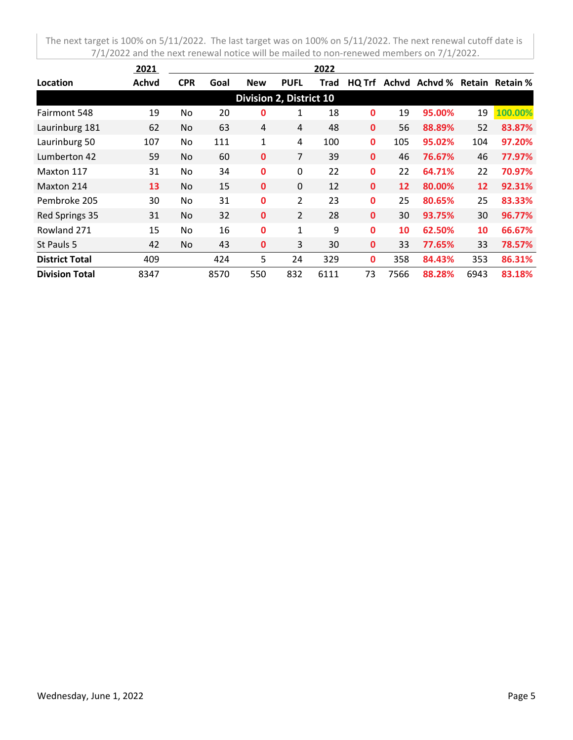|                       | 2021  |            |      |                                |                | 2022 |              |      |               |      |                        |
|-----------------------|-------|------------|------|--------------------------------|----------------|------|--------------|------|---------------|------|------------------------|
| Location              | Achvd | <b>CPR</b> | Goal | <b>New</b>                     | <b>PUFL</b>    | Trad | HQ Trf       |      | Achyd Achyd % |      | <b>Retain Retain %</b> |
|                       |       |            |      | <b>Division 2, District 10</b> |                |      |              |      |               |      |                        |
| Fairmont 548          | 19    | No         | 20   | 0                              | 1              | 18   | $\mathbf 0$  | 19   | 95.00%        | 19   | 100.00%                |
| Laurinburg 181        | 62    | No.        | 63   | 4                              | 4              | 48   | $\mathbf 0$  | 56   | 88.89%        | 52   | 83.87%                 |
| Laurinburg 50         | 107   | No.        | 111  | 1                              | 4              | 100  | $\mathbf{0}$ | 105  | 95.02%        | 104  | 97.20%                 |
| Lumberton 42          | 59    | No.        | 60   | $\mathbf 0$                    | 7              | 39   | $\mathbf 0$  | 46   | 76.67%        | 46   | 77.97%                 |
| Maxton 117            | 31    | No.        | 34   | $\mathbf 0$                    | 0              | 22   | $\mathbf{0}$ | 22   | 64.71%        | 22   | 70.97%                 |
| Maxton 214            | 13    | No.        | 15   | $\mathbf 0$                    | 0              | 12   | $\mathbf{0}$ | 12   | 80.00%        | 12   | 92.31%                 |
| Pembroke 205          | 30    | No.        | 31   | 0                              | $\overline{2}$ | 23   | $\mathbf 0$  | 25   | 80.65%        | 25   | 83.33%                 |
| Red Springs 35        | 31    | No.        | 32   | $\mathbf{0}$                   | $\overline{2}$ | 28   | $\mathbf{0}$ | 30   | 93.75%        | 30   | 96.77%                 |
| Rowland 271           | 15    | No.        | 16   | $\mathbf 0$                    | 1              | 9    | $\mathbf 0$  | 10   | 62.50%        | 10   | 66.67%                 |
| St Pauls 5            | 42    | No         | 43   | 0                              | 3              | 30   | $\mathbf 0$  | 33   | 77.65%        | 33   | 78.57%                 |
| <b>District Total</b> | 409   |            | 424  | 5                              | 24             | 329  | $\mathbf 0$  | 358  | 84.43%        | 353  | 86.31%                 |
| <b>Division Total</b> | 8347  |            | 8570 | 550                            | 832            | 6111 | 73           | 7566 | 88.28%        | 6943 | 83.18%                 |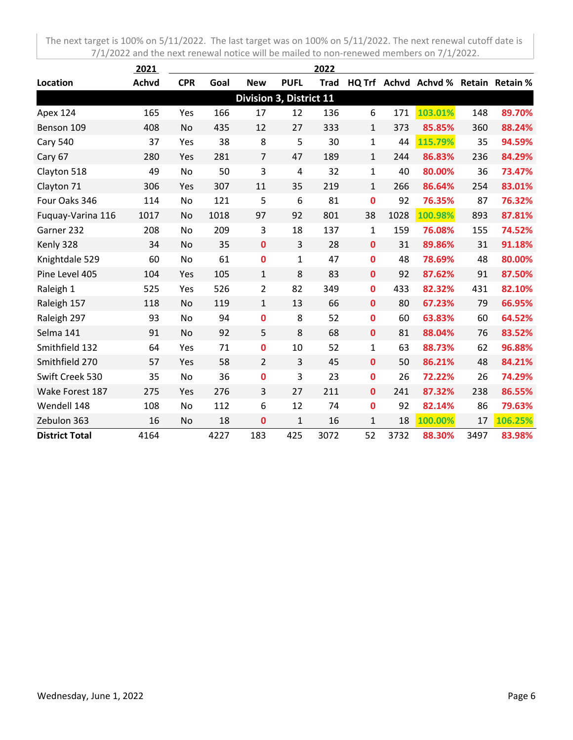|                       | 2021         |            |      |                         |                | 2022        |              |      |                                      |      |         |
|-----------------------|--------------|------------|------|-------------------------|----------------|-------------|--------------|------|--------------------------------------|------|---------|
| Location              | <b>Achvd</b> | <b>CPR</b> | Goal | <b>New</b>              | <b>PUFL</b>    | <b>Trad</b> |              |      | HQ Trf Achvd Achvd % Retain Retain % |      |         |
|                       |              |            |      | Division 3, District 11 |                |             |              |      |                                      |      |         |
| Apex 124              | 165          | Yes        | 166  | 17                      | 12             | 136         | 6            | 171  | 103.01%                              | 148  | 89.70%  |
| Benson 109            | 408          | <b>No</b>  | 435  | 12                      | 27             | 333         | $\mathbf{1}$ | 373  | 85.85%                               | 360  | 88.24%  |
| <b>Cary 540</b>       | 37           | Yes        | 38   | 8                       | 5              | 30          | $\mathbf{1}$ | 44   | 115.79%                              | 35   | 94.59%  |
| Cary 67               | 280          | Yes        | 281  | $\overline{7}$          | 47             | 189         | $\mathbf{1}$ | 244  | 86.83%                               | 236  | 84.29%  |
| Clayton 518           | 49           | No         | 50   | 3                       | $\overline{4}$ | 32          | $\mathbf{1}$ | 40   | 80.00%                               | 36   | 73.47%  |
| Clayton 71            | 306          | Yes        | 307  | 11                      | 35             | 219         | $\mathbf{1}$ | 266  | 86.64%                               | 254  | 83.01%  |
| Four Oaks 346         | 114          | No         | 121  | 5                       | 6              | 81          | 0            | 92   | 76.35%                               | 87   | 76.32%  |
| Fuquay-Varina 116     | 1017         | No         | 1018 | 97                      | 92             | 801         | 38           | 1028 | 100.98%                              | 893  | 87.81%  |
| Garner 232            | 208          | No         | 209  | 3                       | 18             | 137         | $\mathbf{1}$ | 159  | 76.08%                               | 155  | 74.52%  |
| Kenly 328             | 34           | No         | 35   | $\mathbf 0$             | 3              | 28          | $\mathbf 0$  | 31   | 89.86%                               | 31   | 91.18%  |
| Knightdale 529        | 60           | No         | 61   | $\mathbf 0$             | $\mathbf{1}$   | 47          | $\mathbf{0}$ | 48   | 78.69%                               | 48   | 80.00%  |
| Pine Level 405        | 104          | Yes        | 105  | $\mathbf{1}$            | 8              | 83          | $\mathbf 0$  | 92   | 87.62%                               | 91   | 87.50%  |
| Raleigh 1             | 525          | Yes        | 526  | $\overline{2}$          | 82             | 349         | $\mathbf 0$  | 433  | 82.32%                               | 431  | 82.10%  |
| Raleigh 157           | 118          | No         | 119  | $\mathbf{1}$            | 13             | 66          | $\mathbf 0$  | 80   | 67.23%                               | 79   | 66.95%  |
| Raleigh 297           | 93           | No         | 94   | 0                       | 8              | 52          | 0            | 60   | 63.83%                               | 60   | 64.52%  |
| Selma 141             | 91           | No         | 92   | 5                       | 8              | 68          | $\mathbf 0$  | 81   | 88.04%                               | 76   | 83.52%  |
| Smithfield 132        | 64           | Yes        | 71   | 0                       | 10             | 52          | $\mathbf{1}$ | 63   | 88.73%                               | 62   | 96.88%  |
| Smithfield 270        | 57           | Yes        | 58   | $\overline{2}$          | 3              | 45          | $\mathbf 0$  | 50   | 86.21%                               | 48   | 84.21%  |
| Swift Creek 530       | 35           | No         | 36   | 0                       | 3              | 23          | $\mathbf 0$  | 26   | 72.22%                               | 26   | 74.29%  |
| Wake Forest 187       | 275          | Yes        | 276  | 3                       | 27             | 211         | $\mathbf 0$  | 241  | 87.32%                               | 238  | 86.55%  |
| Wendell 148           | 108          | No         | 112  | 6                       | 12             | 74          | $\mathbf 0$  | 92   | 82.14%                               | 86   | 79.63%  |
| Zebulon 363           | 16           | No         | 18   | $\mathbf 0$             | $\mathbf 1$    | 16          | $\mathbf{1}$ | 18   | 100.00%                              | 17   | 106.25% |
| <b>District Total</b> | 4164         |            | 4227 | 183                     | 425            | 3072        | 52           | 3732 | 88.30%                               | 3497 | 83.98%  |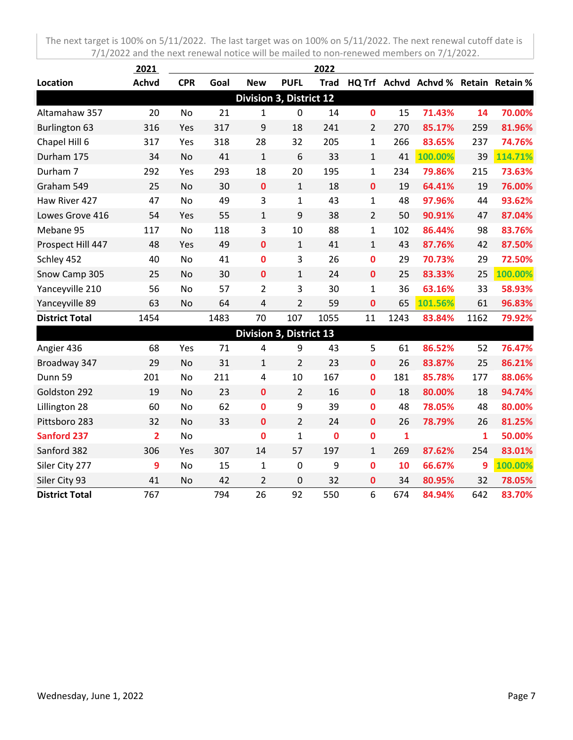|                       | 2021           |            |      |                                |                | 2022        |                |              |                                      |      |         |
|-----------------------|----------------|------------|------|--------------------------------|----------------|-------------|----------------|--------------|--------------------------------------|------|---------|
| Location              | Achvd          | <b>CPR</b> | Goal | <b>New</b>                     | <b>PUFL</b>    | <b>Trad</b> |                |              | HQ Trf Achvd Achvd % Retain Retain % |      |         |
|                       |                |            |      | Division 3, District 12        |                |             |                |              |                                      |      |         |
| Altamahaw 357         | 20             | <b>No</b>  | 21   | 1                              | 0              | 14          | $\mathbf{0}$   | 15           | 71.43%                               | 14   | 70.00%  |
| <b>Burlington 63</b>  | 316            | Yes        | 317  | 9                              | 18             | 241         | 2              | 270          | 85.17%                               | 259  | 81.96%  |
| Chapel Hill 6         | 317            | Yes        | 318  | 28                             | 32             | 205         | $\mathbf{1}$   | 266          | 83.65%                               | 237  | 74.76%  |
| Durham 175            | 34             | No         | 41   | $\mathbf{1}$                   | 6              | 33          | $\mathbf{1}$   | 41           | 100.00%                              | 39   | 114.71% |
| Durham 7              | 292            | Yes        | 293  | 18                             | 20             | 195         | $\mathbf{1}$   | 234          | 79.86%                               | 215  | 73.63%  |
| Graham 549            | 25             | No         | 30   | $\mathbf 0$                    | $\mathbf{1}$   | 18          | $\mathbf 0$    | 19           | 64.41%                               | 19   | 76.00%  |
| Haw River 427         | 47             | <b>No</b>  | 49   | 3                              | $\mathbf{1}$   | 43          | $\mathbf{1}$   | 48           | 97.96%                               | 44   | 93.62%  |
| Lowes Grove 416       | 54             | Yes        | 55   | $\mathbf{1}$                   | 9              | 38          | $\overline{2}$ | 50           | 90.91%                               | 47   | 87.04%  |
| Mebane 95             | 117            | No         | 118  | 3                              | 10             | 88          | $\mathbf{1}$   | 102          | 86.44%                               | 98   | 83.76%  |
| Prospect Hill 447     | 48             | Yes        | 49   | $\mathbf 0$                    | $\mathbf{1}$   | 41          | $\mathbf{1}$   | 43           | 87.76%                               | 42   | 87.50%  |
| Schley 452            | 40             | No         | 41   | 0                              | 3              | 26          | $\mathbf{0}$   | 29           | 70.73%                               | 29   | 72.50%  |
| Snow Camp 305         | 25             | No         | 30   | $\mathbf 0$                    | $\mathbf{1}$   | 24          | $\mathbf 0$    | 25           | 83.33%                               | 25   | 100.00% |
| Yanceyville 210       | 56             | No         | 57   | $\overline{2}$                 | 3              | 30          | $\mathbf{1}$   | 36           | 63.16%                               | 33   | 58.93%  |
| Yanceyville 89        | 63             | No         | 64   | 4                              | $\overline{2}$ | 59          | $\mathbf 0$    | 65           | 101.56%                              | 61   | 96.83%  |
| <b>District Total</b> | 1454           |            | 1483 | 70                             | 107            | 1055        | 11             | 1243         | 83.84%                               | 1162 | 79.92%  |
|                       |                |            |      | <b>Division 3, District 13</b> |                |             |                |              |                                      |      |         |
| Angier 436            | 68             | Yes        | 71   | 4                              | 9              | 43          | 5              | 61           | 86.52%                               | 52   | 76.47%  |
| Broadway 347          | 29             | No         | 31   | $\mathbf{1}$                   | 2              | 23          | $\mathbf 0$    | 26           | 83.87%                               | 25   | 86.21%  |
| Dunn 59               | 201            | No         | 211  | 4                              | 10             | 167         | $\mathbf 0$    | 181          | 85.78%                               | 177  | 88.06%  |
| Goldston 292          | 19             | No         | 23   | $\mathbf 0$                    | $\overline{2}$ | 16          | $\mathbf{0}$   | 18           | 80.00%                               | 18   | 94.74%  |
| Lillington 28         | 60             | No         | 62   | 0                              | 9              | 39          | $\bf{0}$       | 48           | 78.05%                               | 48   | 80.00%  |
| Pittsboro 283         | 32             | No         | 33   | $\mathbf 0$                    | $\overline{2}$ | 24          | $\mathbf 0$    | 26           | 78.79%                               | 26   | 81.25%  |
| <b>Sanford 237</b>    | $\overline{2}$ | No         |      | $\bf{0}$                       | $\mathbf{1}$   | $\bf{0}$    | $\bf{0}$       | $\mathbf{1}$ |                                      | 1    | 50.00%  |
| Sanford 382           | 306            | Yes        | 307  | 14                             | 57             | 197         | $\mathbf{1}$   | 269          | 87.62%                               | 254  | 83.01%  |
| Siler City 277        | 9              | No         | 15   | $\mathbf{1}$                   | $\mathbf 0$    | 9           | $\mathbf 0$    | 10           | 66.67%                               | 9    | 100.00% |
| Siler City 93         | 41             | No         | 42   | $\overline{2}$                 | 0              | 32          | 0              | 34           | 80.95%                               | 32   | 78.05%  |
| <b>District Total</b> | 767            |            | 794  | 26                             | 92             | 550         | 6              | 674          | 84.94%                               | 642  | 83.70%  |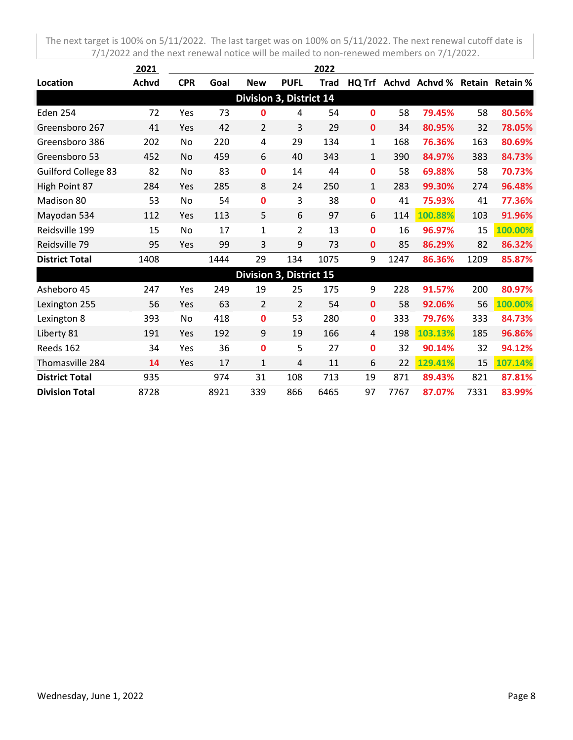|                            | 2021         |            |      |                         |                | 2022        |              |      |                                      |      |         |
|----------------------------|--------------|------------|------|-------------------------|----------------|-------------|--------------|------|--------------------------------------|------|---------|
| Location                   | <b>Achvd</b> | <b>CPR</b> | Goal | <b>New</b>              | <b>PUFL</b>    | <b>Trad</b> |              |      | HQ Trf Achvd Achvd % Retain Retain % |      |         |
|                            |              |            |      | Division 3, District 14 |                |             |              |      |                                      |      |         |
| <b>Eden 254</b>            | 72           | Yes        | 73   | 0                       | 4              | 54          | 0            | 58   | 79.45%                               | 58   | 80.56%  |
| Greensboro 267             | 41           | Yes        | 42   | $\overline{2}$          | 3              | 29          | 0            | 34   | 80.95%                               | 32   | 78.05%  |
| Greensboro 386             | 202          | No         | 220  | 4                       | 29             | 134         | $\mathbf{1}$ | 168  | 76.36%                               | 163  | 80.69%  |
| Greensboro 53              | 452          | No         | 459  | 6                       | 40             | 343         | $\mathbf{1}$ | 390  | 84.97%                               | 383  | 84.73%  |
| <b>Guilford College 83</b> | 82           | No         | 83   | 0                       | 14             | 44          | 0            | 58   | 69.88%                               | 58   | 70.73%  |
| High Point 87              | 284          | Yes        | 285  | 8                       | 24             | 250         | $\mathbf{1}$ | 283  | 99.30%                               | 274  | 96.48%  |
| Madison 80                 | 53           | No         | 54   | 0                       | 3              | 38          | 0            | 41   | 75.93%                               | 41   | 77.36%  |
| Mayodan 534                | 112          | Yes        | 113  | 5                       | 6              | 97          | 6            | 114  | 100.88%                              | 103  | 91.96%  |
| Reidsville 199             | 15           | No         | 17   | $\mathbf{1}$            | $\overline{2}$ | 13          | 0            | 16   | 96.97%                               | 15   | 100.00% |
| Reidsville 79              | 95           | Yes        | 99   | 3                       | 9              | 73          | 0            | 85   | 86.29%                               | 82   | 86.32%  |
| <b>District Total</b>      | 1408         |            | 1444 | 29                      | 134            | 1075        | 9            | 1247 | 86.36%                               | 1209 | 85.87%  |
|                            |              |            |      | Division 3, District 15 |                |             |              |      |                                      |      |         |
| Asheboro 45                | 247          | Yes        | 249  | 19                      | 25             | 175         | 9            | 228  | 91.57%                               | 200  | 80.97%  |
| Lexington 255              | 56           | Yes        | 63   | $\overline{2}$          | $\overline{2}$ | 54          | 0            | 58   | 92.06%                               | 56   | 100.00% |
| Lexington 8                | 393          | No         | 418  | 0                       | 53             | 280         | 0            | 333  | 79.76%                               | 333  | 84.73%  |
| Liberty 81                 | 191          | Yes        | 192  | 9                       | 19             | 166         | 4            | 198  | 103.13%                              | 185  | 96.86%  |
| Reeds 162                  | 34           | Yes        | 36   | 0                       | 5              | 27          | 0            | 32   | 90.14%                               | 32   | 94.12%  |
| Thomasville 284            | 14           | Yes        | 17   | $\mathbf{1}$            | $\overline{4}$ | 11          | 6            | 22   | 129.41%                              | 15   | 107.14% |
| <b>District Total</b>      | 935          |            | 974  | 31                      | 108            | 713         | 19           | 871  | 89.43%                               | 821  | 87.81%  |
| <b>Division Total</b>      | 8728         |            | 8921 | 339                     | 866            | 6465        | 97           | 7767 | 87.07%                               | 7331 | 83.99%  |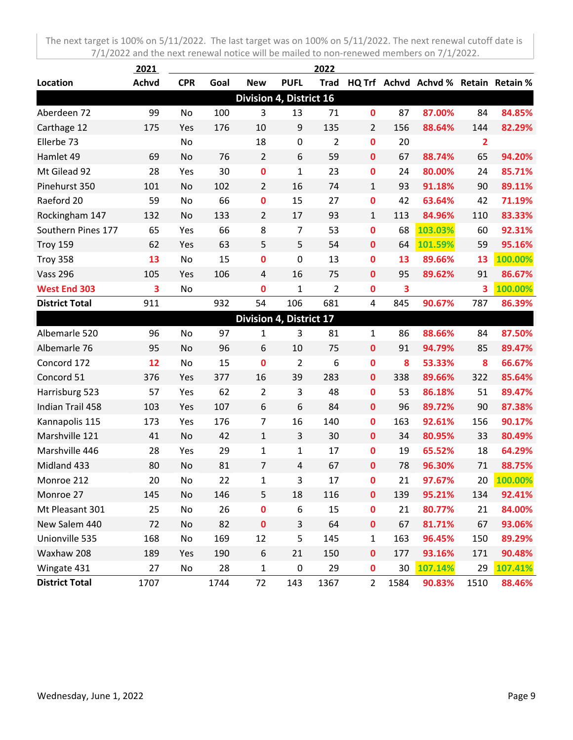|                       | <u> 2021 </u> |            |      |                                |                | 2022           |                |                         |                                      |                |         |
|-----------------------|---------------|------------|------|--------------------------------|----------------|----------------|----------------|-------------------------|--------------------------------------|----------------|---------|
| Location              | <b>Achvd</b>  | <b>CPR</b> | Goal | <b>New</b>                     | <b>PUFL</b>    | <b>Trad</b>    |                |                         | HQ Trf Achvd Achvd % Retain Retain % |                |         |
|                       |               |            |      | <b>Division 4, District 16</b> |                |                |                |                         |                                      |                |         |
| Aberdeen 72           | 99            | No         | 100  | 3                              | 13             | 71             | $\mathbf 0$    | 87                      | 87.00%                               | 84             | 84.85%  |
| Carthage 12           | 175           | Yes        | 176  | 10                             | 9              | 135            | $\overline{2}$ | 156                     | 88.64%                               | 144            | 82.29%  |
| Ellerbe 73            |               | No         |      | 18                             | $\pmb{0}$      | $\overline{2}$ | $\bf{0}$       | 20                      |                                      | $\overline{2}$ |         |
| Hamlet 49             | 69            | No         | 76   | $\overline{2}$                 | 6              | 59             | $\mathbf 0$    | 67                      | 88.74%                               | 65             | 94.20%  |
| Mt Gilead 92          | 28            | Yes        | 30   | $\pmb{0}$                      | $\mathbf 1$    | 23             | $\bf{0}$       | 24                      | 80.00%                               | 24             | 85.71%  |
| Pinehurst 350         | 101           | No         | 102  | $\overline{2}$                 | 16             | 74             | $\mathbf{1}$   | 93                      | 91.18%                               | 90             | 89.11%  |
| Raeford 20            | 59            | No         | 66   | $\mathbf 0$                    | 15             | 27             | $\bf{0}$       | 42                      | 63.64%                               | 42             | 71.19%  |
| Rockingham 147        | 132           | No         | 133  | $\overline{2}$                 | 17             | 93             | $\mathbf{1}$   | 113                     | 84.96%                               | 110            | 83.33%  |
| Southern Pines 177    | 65            | Yes        | 66   | 8                              | $\overline{7}$ | 53             | $\mathbf 0$    | 68                      | 103.03%                              | 60             | 92.31%  |
| Troy 159              | 62            | Yes        | 63   | 5                              | 5              | 54             | $\mathbf 0$    | 64                      | 101.59%                              | 59             | 95.16%  |
| Troy 358              | 13            | No         | 15   | 0                              | 0              | 13             | $\mathbf 0$    | 13                      | 89.66%                               | 13             | 100.00% |
| <b>Vass 296</b>       | 105           | Yes        | 106  | 4                              | 16             | 75             | 0              | 95                      | 89.62%                               | 91             | 86.67%  |
| <b>West End 303</b>   | 3             | No         |      | $\bf{0}$                       | $\mathbf{1}$   | $\overline{2}$ | $\bf{0}$       | $\overline{\mathbf{3}}$ |                                      | 3              | 100.00% |
| <b>District Total</b> | 911           |            | 932  | 54                             | 106            | 681            | 4              | 845                     | 90.67%                               | 787            | 86.39%  |
|                       |               |            |      | Division 4, District 17        |                |                |                |                         |                                      |                |         |
| Albemarle 520         | 96            | No         | 97   | $\mathbf{1}$                   | 3              | 81             | $\mathbf{1}$   | 86                      | 88.66%                               | 84             | 87.50%  |
| Albemarle 76          | 95            | No         | 96   | 6                              | 10             | 75             | $\mathbf 0$    | 91                      | 94.79%                               | 85             | 89.47%  |
| Concord 172           | 12            | No         | 15   | $\mathbf 0$                    | $\overline{2}$ | 6              | $\mathbf 0$    | 8                       | 53.33%                               | 8              | 66.67%  |
| Concord 51            | 376           | Yes        | 377  | 16                             | 39             | 283            | $\mathbf 0$    | 338                     | 89.66%                               | 322            | 85.64%  |
| Harrisburg 523        | 57            | Yes        | 62   | $\overline{2}$                 | 3              | 48             | 0              | 53                      | 86.18%                               | 51             | 89.47%  |
| Indian Trail 458      | 103           | Yes        | 107  | 6                              | 6              | 84             | $\mathbf 0$    | 96                      | 89.72%                               | 90             | 87.38%  |
| Kannapolis 115        | 173           | Yes        | 176  | $\overline{7}$                 | 16             | 140            | $\bf{0}$       | 163                     | 92.61%                               | 156            | 90.17%  |
| Marshville 121        | 41            | No         | 42   | $\mathbf{1}$                   | 3              | 30             | $\mathbf 0$    | 34                      | 80.95%                               | 33             | 80.49%  |
| Marshville 446        | 28            | Yes        | 29   | $\mathbf{1}$                   | $\mathbf{1}$   | 17             | $\bf{0}$       | 19                      | 65.52%                               | 18             | 64.29%  |
| Midland 433           | 80            | No         | 81   | $\overline{7}$                 | 4              | 67             | $\bf{0}$       | 78                      | 96.30%                               | 71             | 88.75%  |
| Monroe 212            | 20            | No         | 22   | $\mathbf 1$                    | 3              | 17             | 0              | 21                      | 97.67%                               | 20             | 100.00% |
| Monroe 27             | 145           | No         | 146  | 5                              | 18             | 116            | $\mathbf 0$    | 139                     | 95.21%                               | 134            | 92.41%  |
| Mt Pleasant 301       | 25            | No         | 26   | $\mathbf 0$                    | 6              | 15             | $\mathbf 0$    | 21                      | 80.77%                               | 21             | 84.00%  |
| New Salem 440         | 72            | No         | 82   | $\pmb{0}$                      | 3              | 64             | $\pmb{0}$      | 67                      | 81.71%                               | 67             | 93.06%  |
| Unionville 535        | 168           | No         | 169  | 12                             | 5              | 145            | $\mathbf{1}$   | 163                     | 96.45%                               | 150            | 89.29%  |
| Waxhaw 208            | 189           | Yes        | 190  | 6                              | 21             | 150            | $\mathbf 0$    | 177                     | 93.16%                               | 171            | 90.48%  |
| Wingate 431           | 27            | No         | 28   | $\mathbf 1$                    | $\pmb{0}$      | 29             | $\mathbf 0$    | 30                      | 107.14%                              | 29             | 107.41% |
| <b>District Total</b> | 1707          |            | 1744 | 72                             | 143            | 1367           | $\overline{2}$ | 1584                    | 90.83%                               | 1510           | 88.46%  |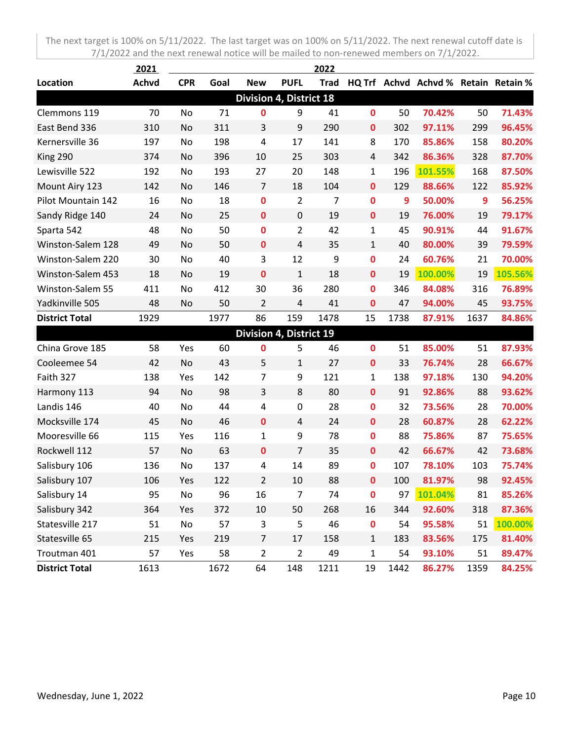|                       | 2021         |            |      |                                |                | 2022        |              |      |                                      |      |         |
|-----------------------|--------------|------------|------|--------------------------------|----------------|-------------|--------------|------|--------------------------------------|------|---------|
| Location              | <b>Achvd</b> | <b>CPR</b> | Goal | <b>New</b>                     | <b>PUFL</b>    | <b>Trad</b> |              |      | HQ Trf Achvd Achvd % Retain Retain % |      |         |
|                       |              |            |      | <b>Division 4, District 18</b> |                |             |              |      |                                      |      |         |
| Clemmons 119          | 70           | No         | 71   | 0                              | 9              | 41          | $\mathbf 0$  | 50   | 70.42%                               | 50   | 71.43%  |
| East Bend 336         | 310          | No         | 311  | 3                              | 9              | 290         | $\mathbf 0$  | 302  | 97.11%                               | 299  | 96.45%  |
| Kernersville 36       | 197          | No         | 198  | 4                              | 17             | 141         | 8            | 170  | 85.86%                               | 158  | 80.20%  |
| King 290              | 374          | No         | 396  | 10                             | 25             | 303         | 4            | 342  | 86.36%                               | 328  | 87.70%  |
| Lewisville 522        | 192          | No         | 193  | 27                             | 20             | 148         | $\mathbf{1}$ | 196  | 101.55%                              | 168  | 87.50%  |
| Mount Airy 123        | 142          | No         | 146  | 7                              | 18             | 104         | $\mathbf 0$  | 129  | 88.66%                               | 122  | 85.92%  |
| Pilot Mountain 142    | 16           | No         | 18   | 0                              | $\overline{2}$ | 7           | $\mathbf 0$  | 9    | 50.00%                               | 9    | 56.25%  |
| Sandy Ridge 140       | 24           | No         | 25   | $\mathbf 0$                    | $\mathbf 0$    | 19          | $\mathbf 0$  | 19   | 76.00%                               | 19   | 79.17%  |
| Sparta 542            | 48           | No         | 50   | 0                              | $\overline{2}$ | 42          | 1            | 45   | 90.91%                               | 44   | 91.67%  |
| Winston-Salem 128     | 49           | No         | 50   | $\mathbf 0$                    | $\overline{4}$ | 35          | $\mathbf{1}$ | 40   | 80.00%                               | 39   | 79.59%  |
| Winston-Salem 220     | 30           | No         | 40   | 3                              | 12             | 9           | 0            | 24   | 60.76%                               | 21   | 70.00%  |
| Winston-Salem 453     | 18           | No         | 19   | 0                              | $\mathbf{1}$   | 18          | 0            | 19   | 100.00%                              | 19   | 105.56% |
| Winston-Salem 55      | 411          | No         | 412  | 30                             | 36             | 280         | $\mathbf 0$  | 346  | 84.08%                               | 316  | 76.89%  |
| Yadkinville 505       | 48           | No         | 50   | 2                              | $\overline{4}$ | 41          | $\mathbf 0$  | 47   | 94.00%                               | 45   | 93.75%  |
| <b>District Total</b> | 1929         |            | 1977 | 86                             | 159            | 1478        | 15           | 1738 | 87.91%                               | 1637 | 84.86%  |
|                       |              |            |      | Division 4, District 19        |                |             |              |      |                                      |      |         |
| China Grove 185       | 58           | Yes        | 60   | 0                              | 5              | 46          | $\mathbf 0$  | 51   | 85.00%                               | 51   | 87.93%  |
| Cooleemee 54          | 42           | No         | 43   | 5                              | 1              | 27          | $\mathbf 0$  | 33   | 76.74%                               | 28   | 66.67%  |
| Faith 327             | 138          | Yes        | 142  | 7                              | 9              | 121         | $\mathbf{1}$ | 138  | 97.18%                               | 130  | 94.20%  |
| Harmony 113           | 94           | No         | 98   | 3                              | 8              | 80          | $\mathbf 0$  | 91   | 92.86%                               | 88   | 93.62%  |
| Landis 146            | 40           | No         | 44   | 4                              | 0              | 28          | $\mathbf 0$  | 32   | 73.56%                               | 28   | 70.00%  |
| Mocksville 174        | 45           | No         | 46   | $\mathbf 0$                    | $\overline{4}$ | 24          | $\mathbf 0$  | 28   | 60.87%                               | 28   | 62.22%  |
| Mooresville 66        | 115          | Yes        | 116  | 1                              | 9              | 78          | $\mathbf 0$  | 88   | 75.86%                               | 87   | 75.65%  |
| Rockwell 112          | 57           | No         | 63   | $\mathbf 0$                    | $\overline{7}$ | 35          | $\mathbf 0$  | 42   | 66.67%                               | 42   | 73.68%  |
| Salisbury 106         | 136          | No         | 137  | 4                              | 14             | 89          | $\mathbf 0$  | 107  | 78.10%                               | 103  | 75.74%  |
| Salisbury 107         | 106          | Yes        | 122  | 2                              | 10             | 88          | $\mathbf 0$  | 100  | 81.97%                               | 98   | 92.45%  |
| Salisbury 14          | 95           | No         | 96   | 16                             | $\overline{7}$ | 74          | $\bf{0}$     | 97   | 101.04%                              | 81   | 85.26%  |
| Salisbury 342         | 364          | Yes        | 372  | 10                             | 50             | 268         | 16           | 344  | 92.60%                               | 318  | 87.36%  |
| Statesville 217       | 51           | No         | 57   | 3                              | 5              | 46          | $\pmb{0}$    | 54   | 95.58%                               | 51   | 100.00% |
| Statesville 65        | 215          | Yes        | 219  | $\overline{7}$                 | 17             | 158         | $\mathbf{1}$ | 183  | 83.56%                               | 175  | 81.40%  |
| Troutman 401          | 57           | Yes        | 58   | $\overline{2}$                 | $\overline{2}$ | 49          | $\mathbf{1}$ | 54   | 93.10%                               | 51   | 89.47%  |
| <b>District Total</b> | 1613         |            | 1672 | 64                             | 148            | 1211        | 19           | 1442 | 86.27%                               | 1359 | 84.25%  |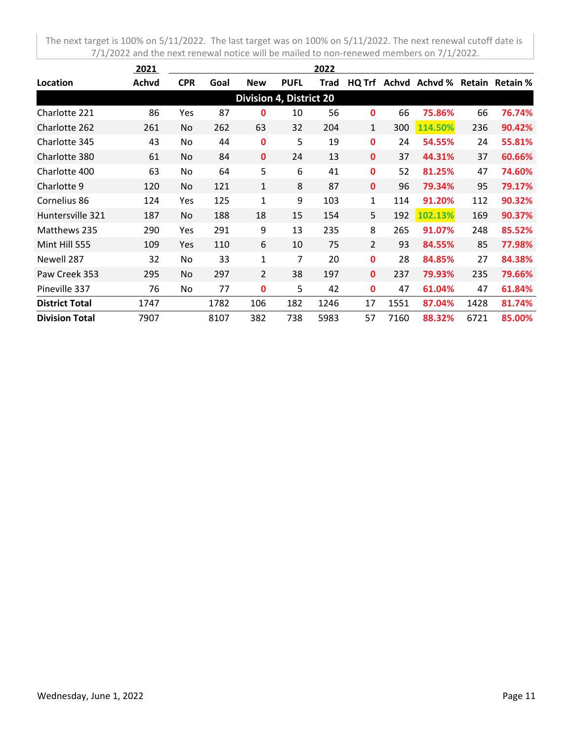|                       | 2021  |            |      |                                |             | 2022 |                |       |         |        |                 |
|-----------------------|-------|------------|------|--------------------------------|-------------|------|----------------|-------|---------|--------|-----------------|
| Location              | Achvd | <b>CPR</b> | Goal | <b>New</b>                     | <b>PUFL</b> | Trad | HQ Trf         | Achvd | Achvd % | Retain | <b>Retain %</b> |
|                       |       |            |      | <b>Division 4, District 20</b> |             |      |                |       |         |        |                 |
| Charlotte 221         | 86    | Yes        | 87   | 0                              | 10          | 56   | 0              | 66    | 75.86%  | 66     | 76.74%          |
| Charlotte 262         | 261   | No.        | 262  | 63                             | 32          | 204  | 1              | 300   | 114.50% | 236    | 90.42%          |
| Charlotte 345         | 43    | <b>No</b>  | 44   | 0                              | 5           | 19   | $\mathbf 0$    | 24    | 54.55%  | 24     | 55.81%          |
| Charlotte 380         | 61    | No.        | 84   | $\mathbf{0}$                   | 24          | 13   | $\mathbf{0}$   | 37    | 44.31%  | 37     | 60.66%          |
| Charlotte 400         | 63    | No         | 64   | 5                              | 6           | 41   | $\mathbf 0$    | 52    | 81.25%  | 47     | 74.60%          |
| Charlotte 9           | 120   | No         | 121  | $\mathbf{1}$                   | 8           | 87   | $\mathbf{0}$   | 96    | 79.34%  | 95     | 79.17%          |
| Cornelius 86          | 124   | Yes        | 125  | 1                              | 9           | 103  | 1              | 114   | 91.20%  | 112    | 90.32%          |
| Huntersville 321      | 187   | No         | 188  | 18                             | 15          | 154  | 5              | 192   | 102.13% | 169    | 90.37%          |
| Matthews 235          | 290   | Yes        | 291  | 9                              | 13          | 235  | 8              | 265   | 91.07%  | 248    | 85.52%          |
| Mint Hill 555         | 109   | Yes        | 110  | 6                              | 10          | 75   | $\overline{2}$ | 93    | 84.55%  | 85     | 77.98%          |
| Newell 287            | 32    | No         | 33   | 1                              | 7           | 20   | $\mathbf 0$    | 28    | 84.85%  | 27     | 84.38%          |
| Paw Creek 353         | 295   | No         | 297  | $\overline{2}$                 | 38          | 197  | $\mathbf{0}$   | 237   | 79.93%  | 235    | 79.66%          |
| Pineville 337         | 76    | No         | 77   | 0                              | 5           | 42   | $\mathbf{0}$   | 47    | 61.04%  | 47     | 61.84%          |
| <b>District Total</b> | 1747  |            | 1782 | 106                            | 182         | 1246 | 17             | 1551  | 87.04%  | 1428   | 81.74%          |
| <b>Division Total</b> | 7907  |            | 8107 | 382                            | 738         | 5983 | 57             | 7160  | 88.32%  | 6721   | 85.00%          |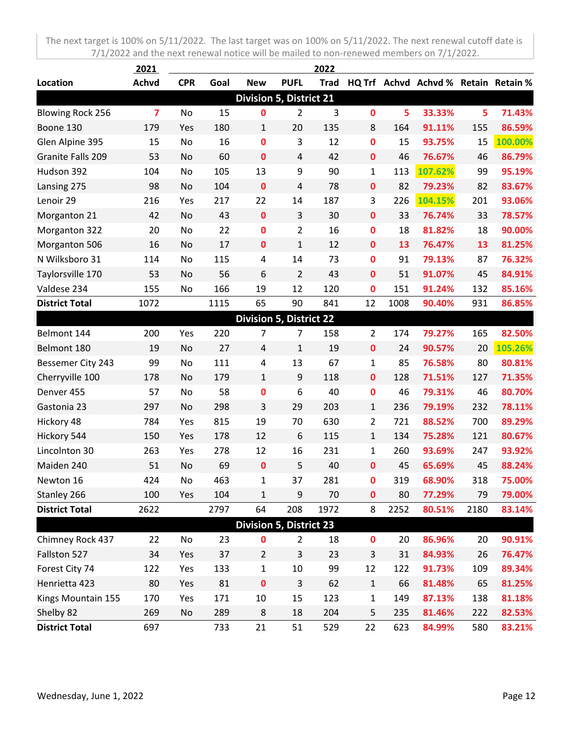|                                | 2021           |            |      |                                |                | 2022        |                |      |                                      |      |         |
|--------------------------------|----------------|------------|------|--------------------------------|----------------|-------------|----------------|------|--------------------------------------|------|---------|
| Location                       | <b>Achvd</b>   | <b>CPR</b> | Goal | <b>New</b>                     | <b>PUFL</b>    | <b>Trad</b> |                |      | HQ Trf Achvd Achvd % Retain Retain % |      |         |
| <b>Division 5, District 21</b> |                |            |      |                                |                |             |                |      |                                      |      |         |
| <b>Blowing Rock 256</b>        | $\overline{7}$ | No         | 15   | 0                              | $\overline{2}$ | 3           | $\mathbf 0$    | 5    | 33.33%                               | 5    | 71.43%  |
| Boone 130                      | 179            | Yes        | 180  | 1                              | 20             | 135         | 8              | 164  | 91.11%                               | 155  | 86.59%  |
| Glen Alpine 395                | 15             | No         | 16   | $\mathbf 0$                    | 3              | 12          | $\bf{0}$       | 15   | 93.75%                               | 15   | 100.00% |
| Granite Falls 209              | 53             | No         | 60   | $\mathbf 0$                    | 4              | 42          | $\mathbf 0$    | 46   | 76.67%                               | 46   | 86.79%  |
| Hudson 392                     | 104            | No         | 105  | 13                             | 9              | 90          | $\mathbf 1$    | 113  | 107.62%                              | 99   | 95.19%  |
| Lansing 275                    | 98             | No         | 104  | $\mathbf 0$                    | 4              | 78          | $\mathbf 0$    | 82   | 79.23%                               | 82   | 83.67%  |
| Lenoir 29                      | 216            | Yes        | 217  | 22                             | 14             | 187         | 3              | 226  | 104.15%                              | 201  | 93.06%  |
| Morganton 21                   | 42             | No         | 43   | $\pmb{0}$                      | $\overline{3}$ | 30          | $\mathbf 0$    | 33   | 76.74%                               | 33   | 78.57%  |
| Morganton 322                  | 20             | No         | 22   | $\mathbf 0$                    | $\overline{2}$ | 16          | $\bf{0}$       | 18   | 81.82%                               | 18   | 90.00%  |
| Morganton 506                  | 16             | No         | 17   | $\mathbf 0$                    | $\mathbf{1}$   | 12          | $\mathbf 0$    | 13   | 76.47%                               | 13   | 81.25%  |
| N Wilksboro 31                 | 114            | No         | 115  | 4                              | 14             | 73          | $\bf{0}$       | 91   | 79.13%                               | 87   | 76.32%  |
| Taylorsville 170               | 53             | No         | 56   | 6                              | $\overline{2}$ | 43          | $\mathbf{0}$   | 51   | 91.07%                               | 45   | 84.91%  |
| Valdese 234                    | 155            | No         | 166  | 19                             | 12             | 120         | $\mathbf 0$    | 151  | 91.24%                               | 132  | 85.16%  |
| <b>District Total</b>          | 1072           |            | 1115 | 65                             | 90             | 841         | 12             | 1008 | 90.40%                               | 931  | 86.85%  |
|                                |                |            |      | <b>Division 5, District 22</b> |                |             |                |      |                                      |      |         |
| Belmont 144                    | 200            | Yes        | 220  | 7                              | $\overline{7}$ | 158         | $\overline{2}$ | 174  | 79.27%                               | 165  | 82.50%  |
| Belmont 180                    | 19             | No         | 27   | $\overline{4}$                 | $\mathbf{1}$   | 19          | $\mathbf 0$    | 24   | 90.57%                               | 20   | 105.26% |
| Bessemer City 243              | 99             | No         | 111  | 4                              | 13             | 67          | $\mathbf{1}$   | 85   | 76.58%                               | 80   | 80.81%  |
| Cherryville 100                | 178            | No         | 179  | $\mathbf{1}$                   | 9              | 118         | $\mathbf 0$    | 128  | 71.51%                               | 127  | 71.35%  |
| Denver 455                     | 57             | No         | 58   | 0                              | 6              | 40          | $\mathbf 0$    | 46   | 79.31%                               | 46   | 80.70%  |
| Gastonia 23                    | 297            | No         | 298  | 3                              | 29             | 203         | $\mathbf{1}$   | 236  | 79.19%                               | 232  | 78.11%  |
| Hickory 48                     | 784            | Yes        | 815  | 19                             | 70             | 630         | $\overline{2}$ | 721  | 88.52%                               | 700  | 89.29%  |
| Hickory 544                    | 150            | Yes        | 178  | 12                             | 6              | 115         | $\mathbf{1}$   | 134  | 75.28%                               | 121  | 80.67%  |
| Lincolnton 30                  | 263            | Yes        | 278  | 12                             | 16             | 231         | $\mathbf{1}$   | 260  | 93.69%                               | 247  | 93.92%  |
| Maiden 240                     | 51             | No         | 69   | $\mathbf 0$                    | 5              | 40          | $\mathbf 0$    | 45   | 65.69%                               | 45   | 88.24%  |
| Newton 16                      | 424            | No         | 463  | 1                              | 37             | 281         | $\mathbf 0$    | 319  | 68.90%                               | 318  | 75.00%  |
| Stanley 266                    | 100            | Yes        | 104  | 1                              | 9              | 70          | $\mathbf 0$    | 80   | 77.29%                               | 79   | 79.00%  |
| <b>District Total</b>          | 2622           |            | 2797 | 64                             | 208            | 1972        | 8              | 2252 | 80.51%                               | 2180 | 83.14%  |
|                                |                |            |      | <b>Division 5, District 23</b> |                |             |                |      |                                      |      |         |
| Chimney Rock 437               | 22             | No         | 23   | 0                              | $\overline{2}$ | 18          | $\mathbf 0$    | 20   | 86.96%                               | 20   | 90.91%  |
| Fallston 527                   | 34             | Yes        | 37   | $\overline{2}$                 | 3              | 23          | $\mathsf{3}$   | 31   | 84.93%                               | 26   | 76.47%  |
| Forest City 74                 | 122            | Yes        | 133  | $\mathbf{1}$                   | 10             | 99          | 12             | 122  | 91.73%                               | 109  | 89.34%  |
| Henrietta 423                  | 80             | Yes        | 81   | $\pmb{0}$                      | 3              | 62          | $\mathbf 1$    | 66   | 81.48%                               | 65   | 81.25%  |
| Kings Mountain 155             | 170            | Yes        | 171  | 10                             | 15             | 123         | $\mathbf{1}$   | 149  | 87.13%                               | 138  | 81.18%  |
| Shelby 82                      | 269            | No         | 289  | 8                              | 18             | 204         | 5              | 235  | 81.46%                               | 222  | 82.53%  |
| <b>District Total</b>          | 697            |            | 733  | 21                             | 51             | 529         | 22             | 623  | 84.99%                               | 580  | 83.21%  |